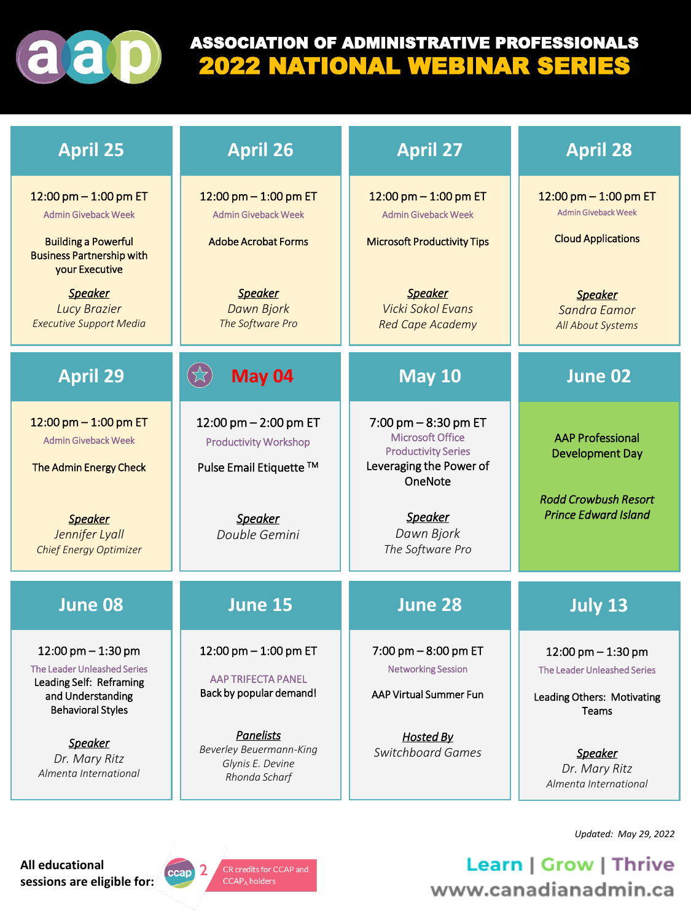

# ASSOCIATION OF ADMINISTRATIVE PROFESSIONALS 2022 NATIONAL WEBINAR SERIES

| <b>April 25</b>                                                                                                                                                                                                      | <b>April 26</b>                                                                                                                         | <b>April 27</b>                                                                                                                                                     | <b>April 28</b>                                                                                                                           |
|----------------------------------------------------------------------------------------------------------------------------------------------------------------------------------------------------------------------|-----------------------------------------------------------------------------------------------------------------------------------------|---------------------------------------------------------------------------------------------------------------------------------------------------------------------|-------------------------------------------------------------------------------------------------------------------------------------------|
| 12:00 pm $-$ 1:00 pm ET<br><b>Admin Giveback Week</b><br><b>Building a Powerful</b><br><b>Business Partnership with</b><br>your Executive<br><b>Speaker</b><br><b>Lucy Brazier</b><br><b>Executive Support Media</b> | 12:00 pm $-$ 1:00 pm ET<br><b>Admin Giveback Week</b><br><b>Adobe Acrobat Forms</b><br><b>Speaker</b><br>Dawn Bjork<br>The Software Pro | 12:00 pm $-$ 1:00 pm ET<br><b>Admin Giveback Week</b><br><b>Microsoft Productivity Tips</b><br><b>Speaker</b><br>Vicki Sokol Evans<br><b>Red Cape Academy</b>       | 12:00 pm $-$ 1:00 pm ET<br><b>Admin Giveback Week</b><br><b>Cloud Applications</b><br><b>Speaker</b><br>Sandra Eamor<br>All About Systems |
| <b>April 29</b>                                                                                                                                                                                                      | May 04                                                                                                                                  | <b>May 10</b>                                                                                                                                                       | June 02                                                                                                                                   |
| 12:00 pm $-$ 1:00 pm ET<br><b>Admin Giveback Week</b><br>The Admin Energy Check<br><b>Speaker</b><br>Jennifer Lyall<br>Chief Energy Optimizer                                                                        | 12:00 pm $-$ 2:00 pm ET<br><b>Productivity Workshop</b><br>Pulse Email Etiquette ™<br><b>Speaker</b><br>Double Gemini                   | $7:00$ pm $-8:30$ pm ET<br>Microsoft Office<br><b>Productivity Series</b><br>Leveraging the Power of<br>OneNote<br><b>Speaker</b><br>Dawn Bjork<br>The Software Pro | <b>AAP Professional</b><br><b>Development Day</b><br><b>Rodd Crowbush Resort</b><br><b>Prince Edward Island</b>                           |
| <b>June 08</b>                                                                                                                                                                                                       | <b>June 15</b>                                                                                                                          | <b>June 28</b>                                                                                                                                                      | <b>July 13</b>                                                                                                                            |
| $12:00 \text{ pm} - 1:30 \text{ pm}$<br>The Leader Unleashed Series<br>Leading Self: Reframing<br>and Understanding<br><b>Behavioral Styles</b>                                                                      | 12:00 pm $-$ 1:00 pm ET<br><b>AAP TRIFECTA PANEL</b><br>Back by popular demand!                                                         | $7:00$ pm $-8:00$ pm ET<br><b>Networking Session</b><br>AAP Virtual Summer Fun                                                                                      | $12:00$ pm $-1:30$ pm<br><b>The Leader Unleashed Series</b><br>Leading Others: Motivating<br><b>Teams</b>                                 |
| <b>Speaker</b><br>Dr. Mary Ritz<br>Almenta International                                                                                                                                                             | <b>Panelists</b><br><b>Beverley Beuermann-King</b><br>Glynis E. Devine<br>Rhonda Scharf                                                 | <b>Hosted By</b><br><b>Switchboard Games</b>                                                                                                                        | <b>Speaker</b><br>Dr. Mary Ritz<br>Almenta International                                                                                  |

*Updated: May 29, 2022*

**All educational sessions are eligible for:**



CR credits for CCAP and  $CCAP<sub>A</sub>$  holders

Learn | Grow | Thrive www.canadianadmin.ca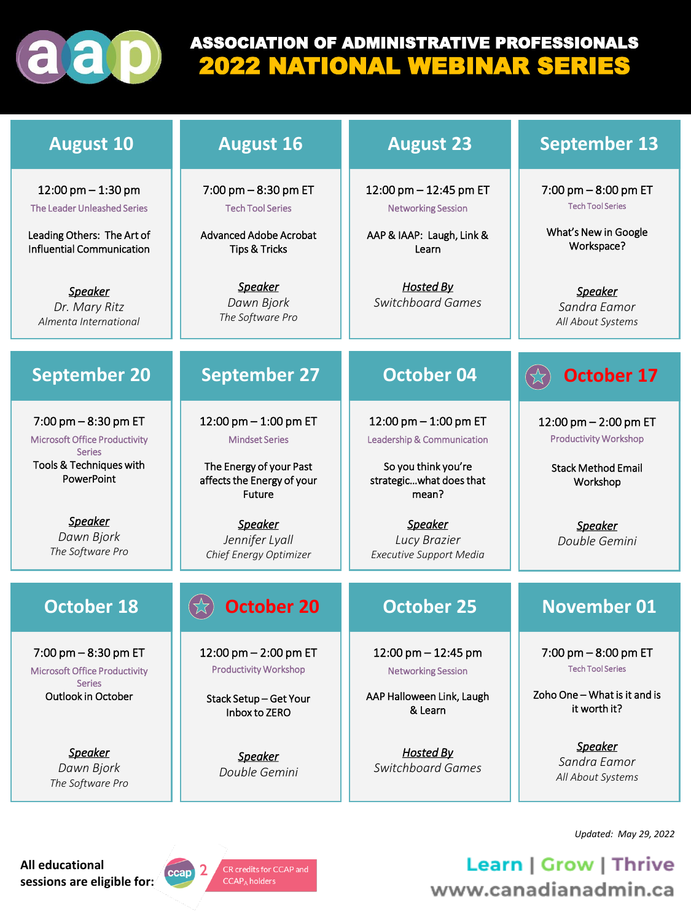

# ASSOCIATION OF ADMINISTRATIVE PROFESSIONALS 2022 NATIONAL WEBINAR SERIES

| <b>August 10</b>                                                               | <b>August 16</b>                                                       | <b>August 23</b>                                                      | <b>September 13</b>                                     |
|--------------------------------------------------------------------------------|------------------------------------------------------------------------|-----------------------------------------------------------------------|---------------------------------------------------------|
| $12:00$ pm $-1:30$ pm<br>The Leader Unleashed Series                           | 7:00 pm - 8:30 pm ET<br><b>Tech Tool Series</b>                        | 12:00 pm - 12:45 pm ET<br><b>Networking Session</b>                   | $7:00$ pm $-8:00$ pm ET<br><b>Tech Tool Series</b>      |
| Leading Others: The Art of<br>Influential Communication                        | <b>Advanced Adobe Acrobat</b><br><b>Tips &amp; Tricks</b>              | AAP & IAAP: Laugh, Link &<br>Learn                                    | What's New in Google<br>Workspace?                      |
| <b>Speaker</b><br>Dr. Mary Ritz<br>Almenta International                       | <b>Speaker</b><br>Dawn Bjork<br>The Software Pro                       | <b>Hosted By</b><br><b>Switchboard Games</b>                          | <b>Speaker</b><br>Sandra Eamor<br>All About Systems     |
| <b>September 20</b>                                                            | <b>September 27</b>                                                    | <b>October 04</b>                                                     | <b>October 17</b>                                       |
| 7:00 pm $-8:30$ pm ET<br><b>Microsoft Office Productivity</b><br><b>Series</b> | 12:00 pm $-$ 1:00 pm ET<br><b>Mindset Series</b>                       | $12:00 \text{ pm} - 1:00 \text{ pm}$ ET<br>Leadership & Communication | 12:00 pm $-$ 2:00 pm ET<br><b>Productivity Workshop</b> |
| Tools & Techniques with<br>PowerPoint                                          | The Energy of your Past<br>affects the Energy of your<br><b>Future</b> | So you think you're<br>strategicwhat does that<br>mean?               | <b>Stack Method Email</b><br>Workshop                   |
| <b>Speaker</b><br>Dawn Bjork<br>The Software Pro                               | <b>Speaker</b><br>Jennifer Lyall<br>Chief Energy Optimizer             | <b>Speaker</b><br>Lucy Brazier<br><b>Executive Support Media</b>      | <b>Speaker</b><br>Double Gemini                         |
| <b>October 18</b>                                                              | <b>October 20</b>                                                      | <b>October 25</b>                                                     | <b>November 01</b>                                      |
| $7:00$ pm $-8:30$ pm ET<br><b>Microsoft Office Productivity</b>                | 12:00 pm $-$ 2:00 pm ET<br><b>Productivity Workshop</b>                | $12:00$ pm $- 12:45$ pm<br><b>Networking Session</b>                  | $7:00$ pm $-8:00$ pm ET<br><b>Tech Tool Series</b>      |
| Series<br>Outlook in October                                                   | Stack Setup-Get Your<br>Inbox to ZERO                                  | AAP Halloween Link, Laugh<br>& Learn                                  | Zoho One - What is it and is<br>it worth it?            |
| <u>Speaker</u><br>Dawn Bjork<br>The Software Pro                               | <u>Speaker</u><br>Double Gemini                                        | <b>Hosted By</b><br><b>Switchboard Games</b>                          | <b>Speaker</b><br>Sandra Eamor<br>All About Systems     |

*Updated: May 29, 2022*

**All educational sessions are eligible for:**



CR credits for CCAP and CCAP<sub>A</sub> holders

Learn | Grow | Thrive www.canadianadmin.ca